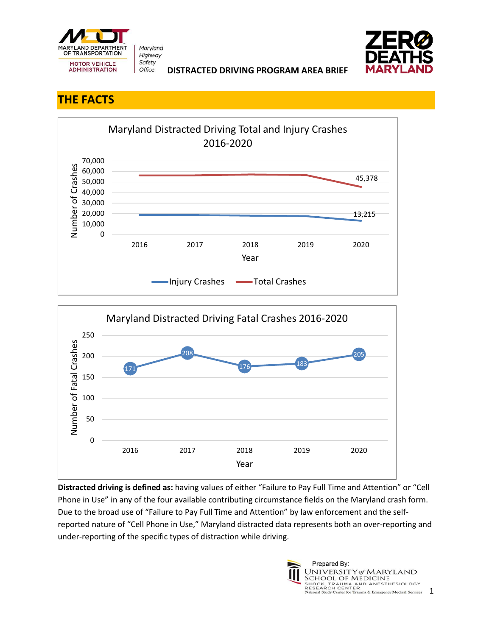

Maryland Highway Safety Office



**DISTRACTED DRIVING PROGRAM AREA BRIEF** 

## **THE FACTS**





**Distracted driving is defined as:** having values of either "Failure to Pay Full Time and Attention" or "Cell Phone in Use" in any of the four available contributing circumstance fields on the Maryland crash form. Due to the broad use of "Failure to Pay Full Time and Attention" by law enforcement and the selfreported nature of "Cell Phone in Use," Maryland distracted data represents both an over-reporting and under-reporting of the specific types of distraction while driving.

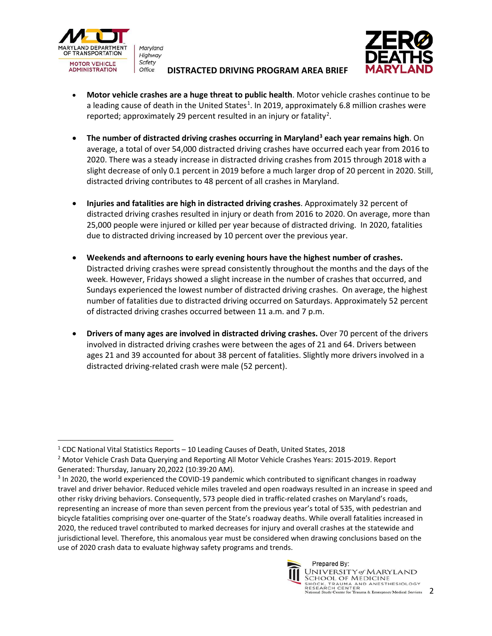

Maryland Highway Safety Office

## **DISTRACTED DRIVING PROGRAM AREA BRIEF**



- **Motor vehicle crashes are a huge threat to public health**. Motor vehicle crashes continue to be a leading cause of death in the United States<sup>[1](#page-1-0)</sup>. In 2019, approximately 6.8 million crashes were reported; approximately [2](#page-1-1)9 percent resulted in an injury or fatality<sup>2</sup>.
- **The number of distracted driving crashes occurring in Maryland[3](#page-1-2) each year remains high**. On average, a total of over 54,000 distracted driving crashes have occurred each year from 2016 to 2020. There was a steady increase in distracted driving crashes from 2015 through 2018 with a slight decrease of only 0.1 percent in 2019 before a much larger drop of 20 percent in 2020. Still, distracted driving contributes to 48 percent of all crashes in Maryland.
- **Injuries and fatalities are high in distracted driving crashes**. Approximately 32 percent of distracted driving crashes resulted in injury or death from 2016 to 2020. On average, more than 25,000 people were injured or killed per year because of distracted driving. In 2020, fatalities due to distracted driving increased by 10 percent over the previous year.
- **Weekends and afternoons to early evening hours have the highest number of crashes.** Distracted driving crashes were spread consistently throughout the months and the days of the week. However, Fridays showed a slight increase in the number of crashes that occurred, and Sundays experienced the lowest number of distracted driving crashes. On average, the highest number of fatalities due to distracted driving occurred on Saturdays. Approximately 52 percent of distracted driving crashes occurred between 11 a.m. and 7 p.m.
- **Drivers of many ages are involved in distracted driving crashes.** Over 70 percent of the drivers involved in distracted driving crashes were between the ages of 21 and 64. Drivers between ages 21 and 39 accounted for about 38 percent of fatalities. Slightly more drivers involved in a distracted driving-related crash were male (52 percent).

<span id="page-1-2"></span><sup>&</sup>lt;sup>3</sup> In 2020, the world experienced the COVID-19 pandemic which contributed to significant changes in roadway travel and driver behavior. Reduced vehicle miles traveled and open roadways resulted in an increase in speed and other risky driving behaviors. Consequently, 573 people died in traffic-related crashes on Maryland's roads, representing an increase of more than seven percent from the previous year's total of 535, with pedestrian and bicycle fatalities comprising over one-quarter of the State's roadway deaths. While overall fatalities increased in 2020, the reduced travel contributed to marked decreases for injury and overall crashes at the statewide and jurisdictional level. Therefore, this anomalous year must be considered when drawing conclusions based on the use of 2020 crash data to evaluate highway safety programs and trends.



<span id="page-1-0"></span><sup>1</sup> CDC National Vital Statistics Reports – 10 Leading Causes of Death, United States, 2018

<span id="page-1-1"></span><sup>&</sup>lt;sup>2</sup> Motor Vehicle Crash Data Querying and Reporting All Motor Vehicle Crashes Years: 2015-2019. Report Generated: Thursday, January 20,2022 (10:39:20 AM).